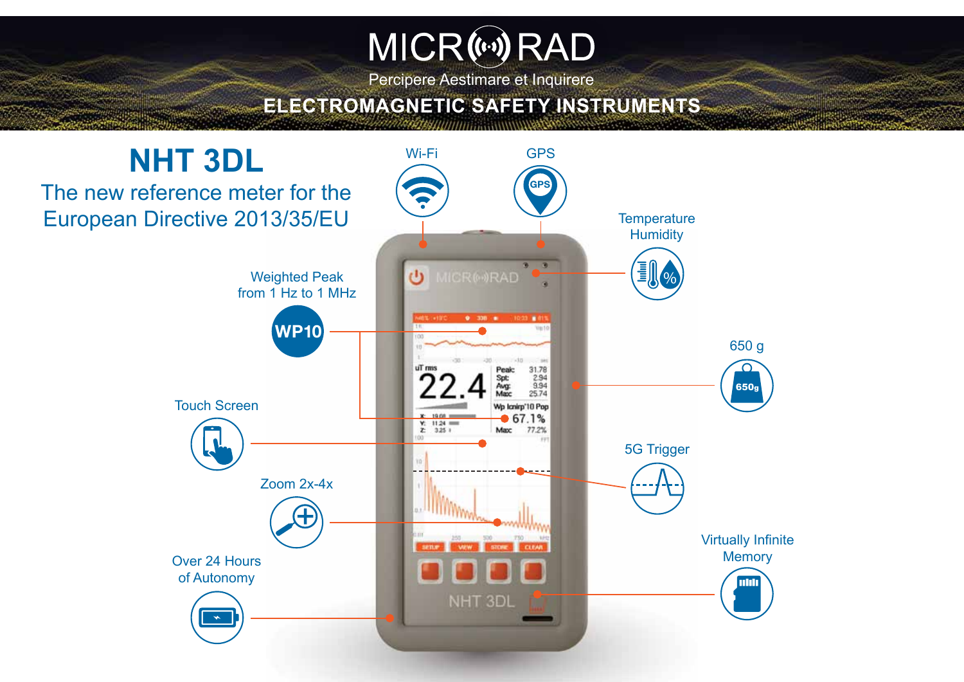# MICR(40) RAD

Percipere Aestimare et Inquirere

## **ELECTROMAGNETIC SAFETY INSTRUMENTS**

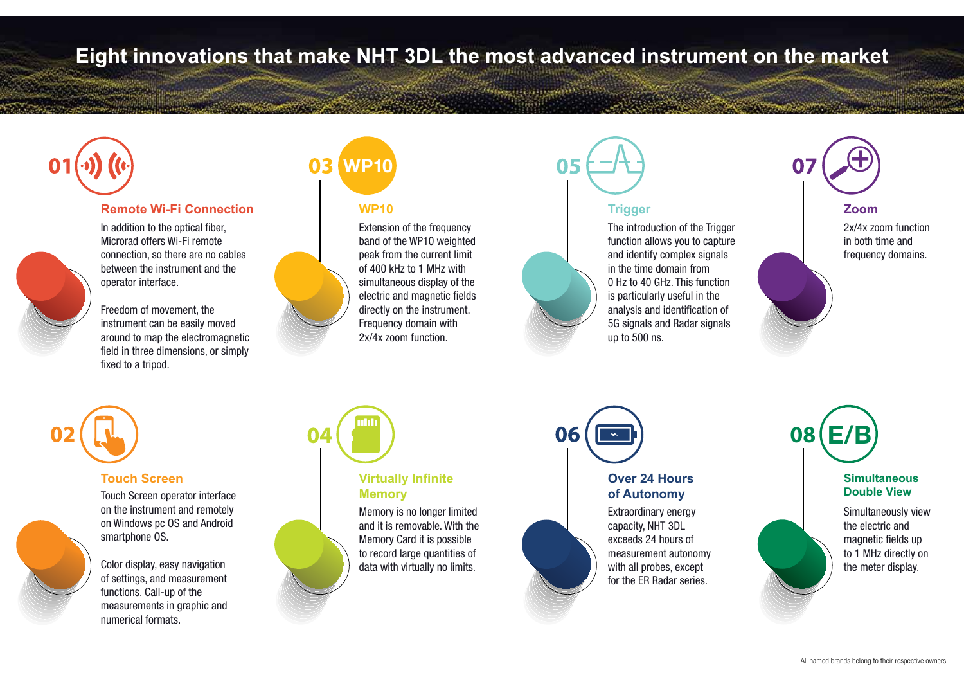## **Eight innovations that make NHT 3DL the most advanced instrument on the market**

Andersenzug is kann geweischen

### **Remote Wi-Fi Connection**

In addition to the optical fiber, Microrad offers Wi-Fi remote connection, so there are no cables between the instrument and the operator interface.

Freedom of movement, the instrument can be easily moved around to map the electromagnetic field in three dimensions, or simply fixed to a tripod.

# **WP10**

#### **WP10**

Extension of the frequency band of the WP10 weighted peak from the current limit of 400 kHz to 1 MHz with simultaneous display of the electric and magnetic fields directly on the instrument. Frequency domain with 2x/4x zoom function.



The introduction of the Trigger function allows you to capture and identify complex signals in the time domain from 0 Hz to 40 GHz. This function is particularly useful in the analysis and identification of 5G signals and Radar signals up to 500 ns.

#### **Zoom**

2x/4x zoom function in both time and frequency domains.

#### **Touch Screen**

Touch Screen operator interface on the instrument and remotely on Windows pc OS and Android smartphone OS.

Color display, easy navigation of settings, and measurement functions. Call-up of the measurements in graphic and numerical formats.



### **Virtually Infinite Memory**

Memory is no longer limited and it is removable. With the Memory Card it is possible to record large quantities of data with virtually no limits.



### **Over 24 Hours of Autonomy**

Extraordinary energy capacity, NHT 3DL exceeds 24 hours of measurement autonomy with all probes, except for the ER Radar series.



#### **Simultaneous Double View**

Simultaneously view the electric and magnetic fields up to 1 MHz directly on the meter display.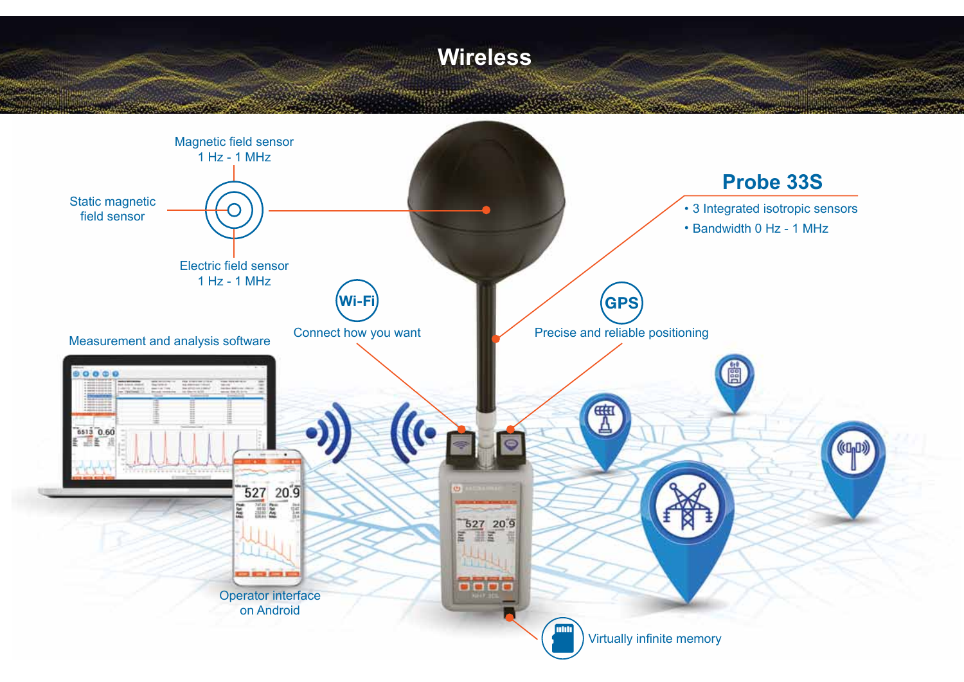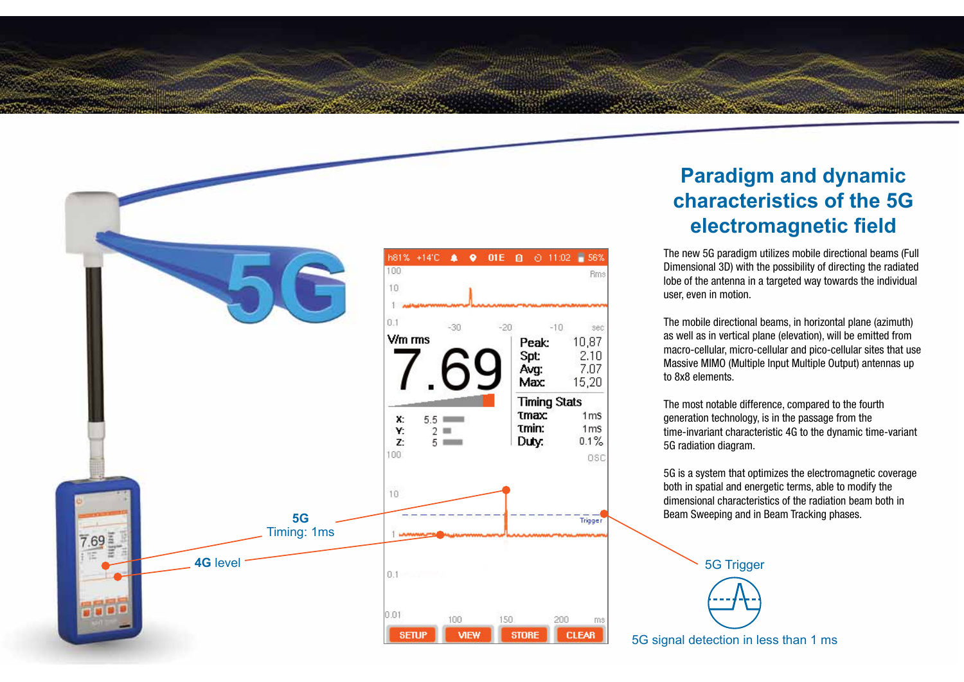

## **Paradigm and dynamic characteristics of the 5G electromagnetic field**

The new 5G paradigm utilizes mobile directional beams (Full Dimensional 3D) with the possibility of directing the radiated lobe of the antenna in a targeted way towards the individual user, even in motion.

The mobile directional beams, in horizontal plane (azimuth) as well as in vertical plane (elevation), will be emitted from macro-cellular, micro-cellular and pico-cellular sites that use Massive MIMO (Multiple Input Multiple Output) antennas up to 8x8 elements.

The most notable difference, compared to the fourth generation technology, is in the passage from the time-invariant characteristic 4G to the dynamic time-variant 5G radiation diagram.

5G is a system that optimizes the electromagnetic coverage both in spatial and energetic terms, able to modify the dimensional characteristics of the radiation beam both in Beam Sweeping and in Beam Tracking phases.



5G signal detection in less than 1 ms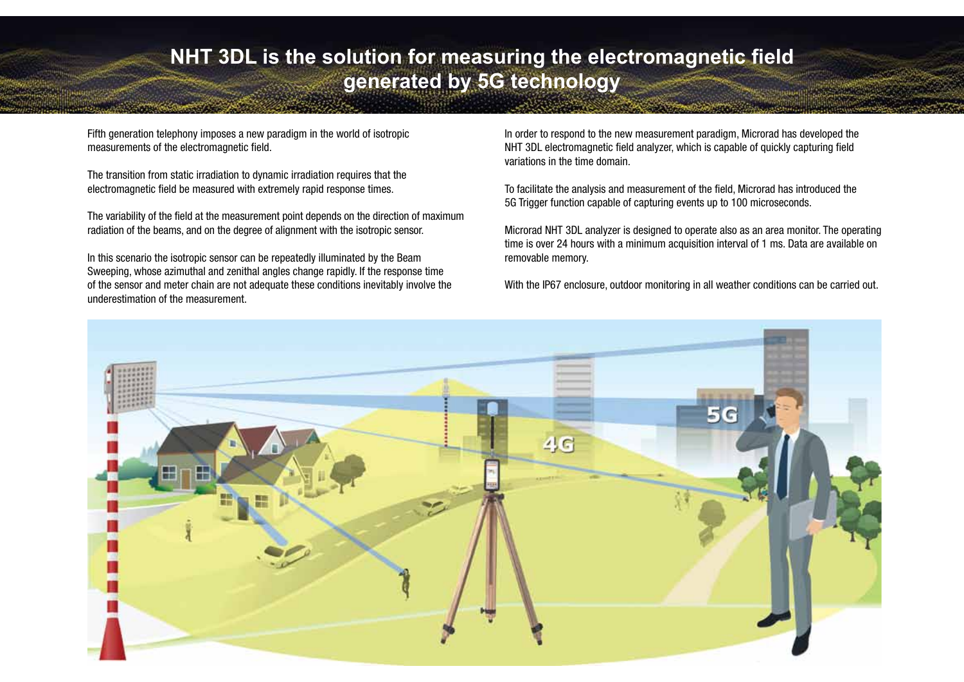## **NHT 3DL is the solution for measuring the electromagnetic field generated by 5G technology**

Fifth generation telephony imposes a new paradigm in the world of isotropic measurements of the electromagnetic field.

The transition from static irradiation to dynamic irradiation requires that the electromagnetic field be measured with extremely rapid response times.

The variability of the field at the measurement point depends on the direction of maximum radiation of the beams, and on the degree of alignment with the isotropic sensor.

In this scenario the isotropic sensor can be repeatedly illuminated by the Beam Sweeping, whose azimuthal and zenithal angles change rapidly. If the response time of the sensor and meter chain are not adequate these conditions inevitably involve the underestimation of the measurement.

In order to respond to the new measurement paradigm, Microrad has developed the NHT 3DL electromagnetic field analyzer, which is capable of quickly capturing field variations in the time domain.

To facilitate the analysis and measurement of the field, Microrad has introduced the 5G Trigger function capable of capturing events up to 100 microseconds.

Microrad NHT 3DL analyzer is designed to operate also as an area monitor. The operating time is over 24 hours with a minimum acquisition interval of 1 ms. Data are available on removable memory.

With the IP67 enclosure, outdoor monitoring in all weather conditions can be carried out.

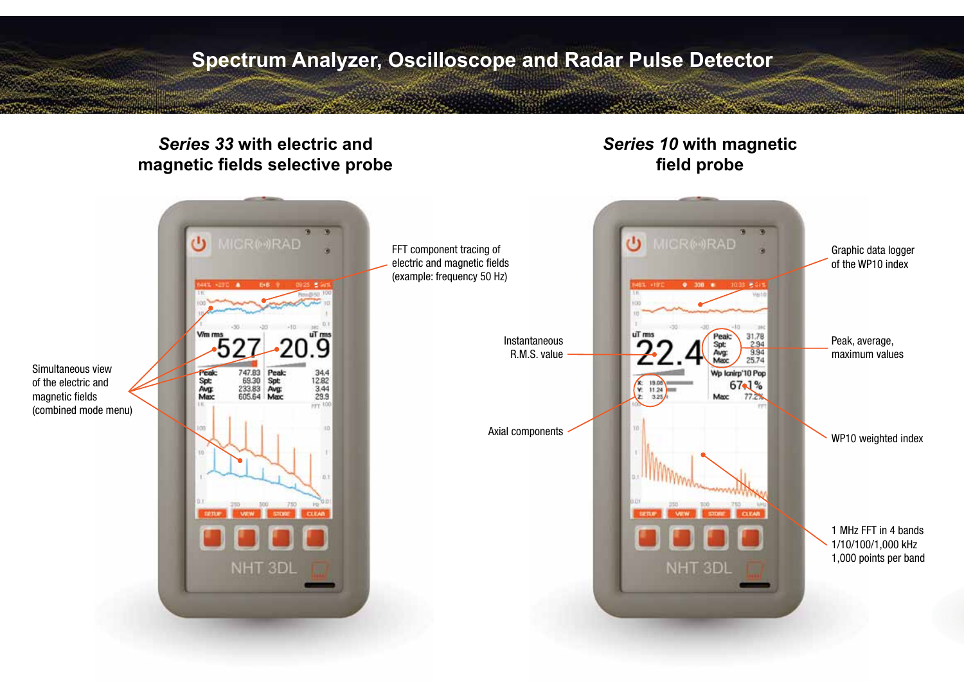## **Spectrum Analyzer, Oscilloscope and Radar Pulse Detector**

**COMMERCIAL STATE AND REAL PROPERTY** 

## *Series 33* **with electric and magnetic fields selective probe**

## *Series 10* **with magnetic field probe**

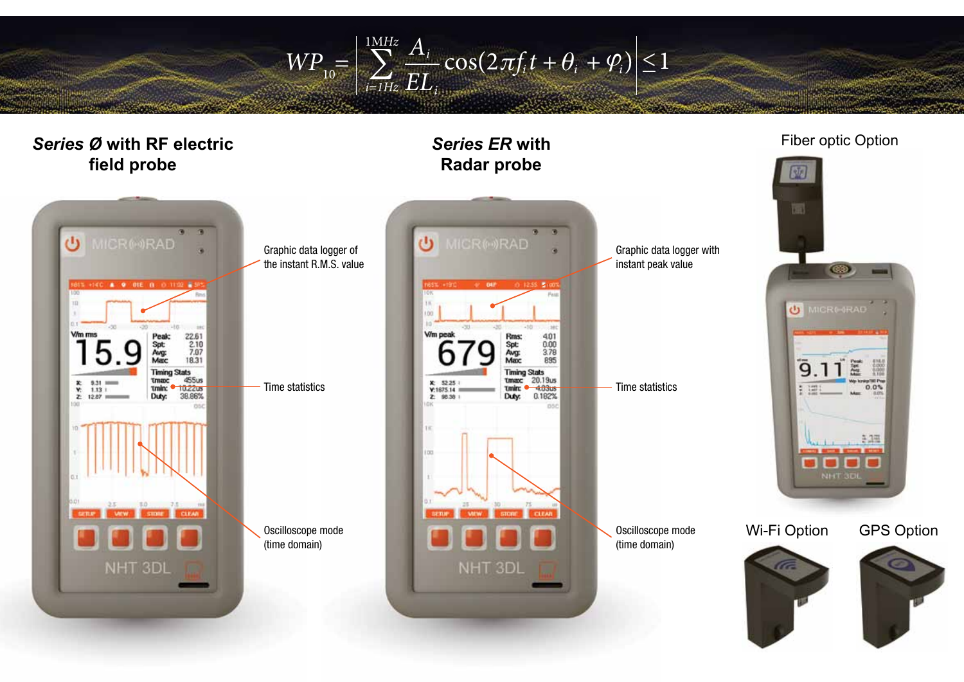1MHz  $\overline{\pi}$ A  $EL_i$  $\sum_{i} \frac{A_i}{EI} \cos(2\pi f_i t + \theta_i + \varphi_i) \leq 1$ 

 $W\!P_{10} =$ 

 $i=1Hz$